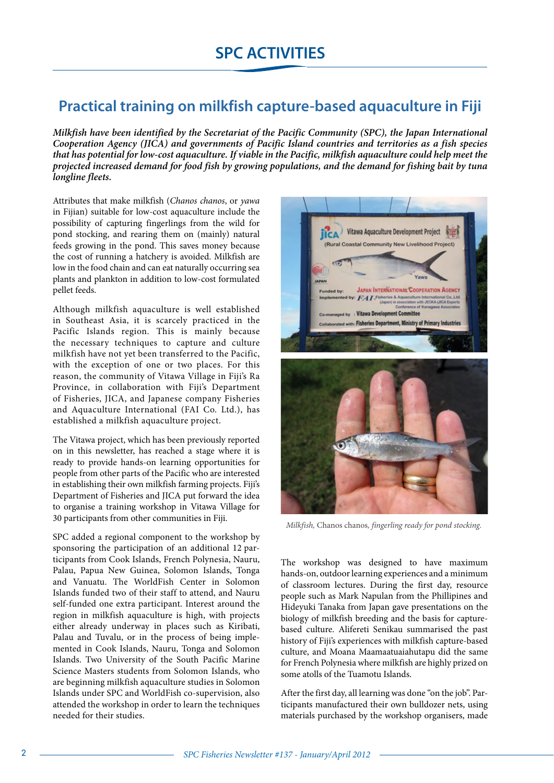## **Practical training on milkfish capture-based aquaculture in Fiji**

*Milkfish have been identified by the Secretariat of the Pacific Community (SPC), the Japan International Cooperation Agency (JICA) and governments of Pacific Island countries and territories as a fish species that has potential for low-cost aquaculture. If viable in the Pacific, milkfish aquaculture could help meet the projected increased demand for food fish by growing populations, and the demand for fishing bait by tuna longline fleets.* 

Attributes that make milkfish (*Chanos chanos*, or *yawa* in Fijian) suitable for low-cost aquaculture include the possibility of capturing fingerlings from the wild for pond stocking, and rearing them on (mainly) natural feeds growing in the pond. This saves money because the cost of running a hatchery is avoided. Milkfish are low in the food chain and can eat naturally occurring sea plants and plankton in addition to low-cost formulated pellet feeds.

Although milkfish aquaculture is well established in Southeast Asia, it is scarcely practiced in the Pacific Islands region. This is mainly because the necessary techniques to capture and culture milkfish have not yet been transferred to the Pacific, with the exception of one or two places. For this reason, the community of Vitawa Village in Fiji's Ra Province, in collaboration with Fiji's Department of Fisheries, JICA, and Japanese company Fisheries and Aquaculture International (FAI Co. Ltd.), has established a milkfish aquaculture project.

The Vitawa project, which has been previously reported on in this newsletter, has reached a stage where it is ready to provide hands-on learning opportunities for people from other parts of the Pacific who are interested in establishing their own milkfish farming projects. Fiji's Department of Fisheries and JICA put forward the idea to organise a training workshop in Vitawa Village for 30 participants from other communities in Fiji.

SPC added a regional component to the workshop by sponsoring the participation of an additional 12 participants from Cook Islands, French Polynesia, Nauru, Palau, Papua New Guinea, Solomon Islands, Tonga and Vanuatu. The WorldFish Center in Solomon Islands funded two of their staff to attend, and Nauru self-funded one extra participant. Interest around the region in milkfish aquaculture is high, with projects either already underway in places such as Kiribati, Palau and Tuvalu, or in the process of being implemented in Cook Islands, Nauru, Tonga and Solomon Islands. Two University of the South Pacific Marine Science Masters students from Solomon Islands, who are beginning milkfish aquaculture studies in Solomon Islands under SPC and WorldFish co-supervision, also attended the workshop in order to learn the techniques needed for their studies.



*Milkfish,* Chanos chanos*, fingerling ready for pond stocking.*

The workshop was designed to have maximum hands-on, outdoor learning experiences and a minimum of classroom lectures. During the first day, resource people such as Mark Napulan from the Phillipines and Hideyuki Tanaka from Japan gave presentations on the biology of milkfish breeding and the basis for capturebased culture. Alifereti Senikau summarised the past history of Fiji's experiences with milkfish capture-based culture, and Moana Maamaatuaiahutapu did the same for French Polynesia where milkfish are highly prized on some atolls of the Tuamotu Islands.

After the first day, all learning was done "on the job". Participants manufactured their own bulldozer nets, using materials purchased by the workshop organisers, made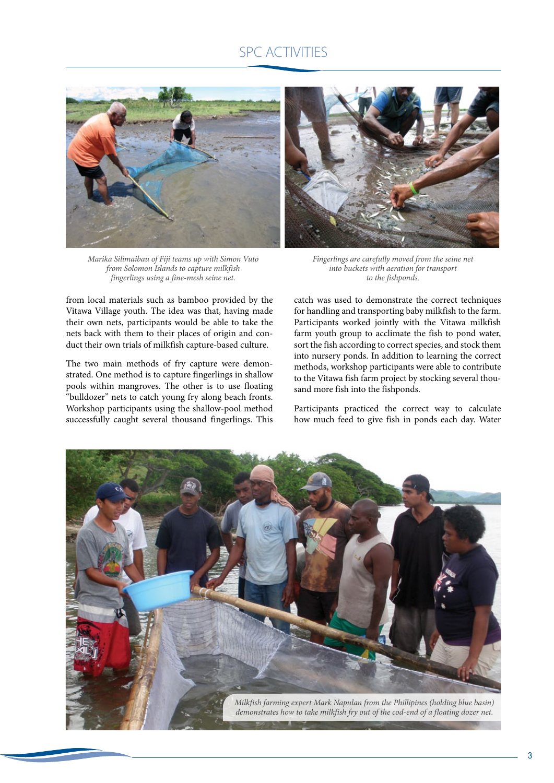## SPC ACTIVITIES



*Marika Silimaibau of Fiji teams up with Simon Vuto from Solomon Islands to capture milkfish fingerlings using a fine-mesh seine net.*

from local materials such as bamboo provided by the Vitawa Village youth. The idea was that, having made their own nets, participants would be able to take the nets back with them to their places of origin and conduct their own trials of milkfish capture-based culture.

The two main methods of fry capture were demonstrated. One method is to capture fingerlings in shallow pools within mangroves. The other is to use floating "bulldozer" nets to catch young fry along beach fronts. Workshop participants using the shallow-pool method successfully caught several thousand fingerlings. This



*Fingerlings are carefully moved from the seine net into buckets with aeration for transport to the fishponds.*

catch was used to demonstrate the correct techniques for handling and transporting baby milkfish to the farm. Participants worked jointly with the Vitawa milkfish farm youth group to acclimate the fish to pond water, sort the fish according to correct species, and stock them into nursery ponds. In addition to learning the correct methods, workshop participants were able to contribute to the Vitawa fish farm project by stocking several thousand more fish into the fishponds.

Participants practiced the correct way to calculate how much feed to give fish in ponds each day. Water